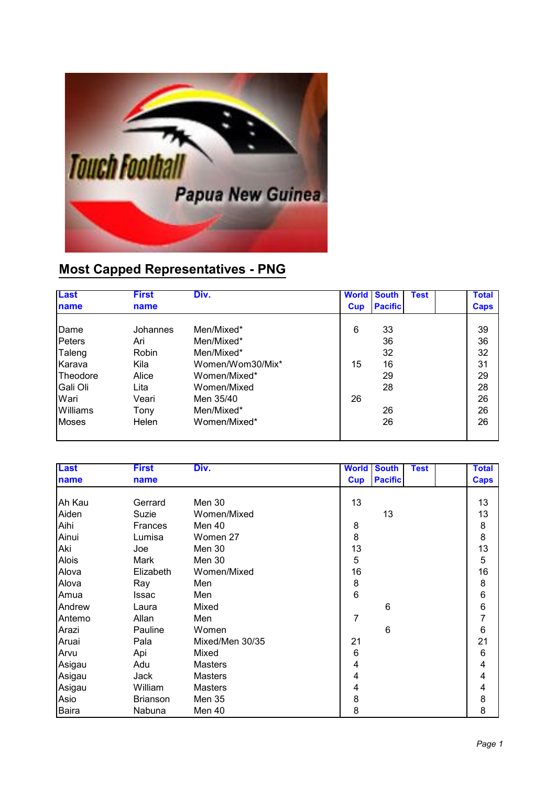

## **Most Capped Representatives - PNG**

| <b>Last</b>     | <b>First</b> | Div.             | <b>World</b> | <b>South</b>   | <b>Test</b> | <b>Total</b> |
|-----------------|--------------|------------------|--------------|----------------|-------------|--------------|
| <b>Iname</b>    | name         |                  | Cup          | <b>Pacific</b> |             | <b>Caps</b>  |
|                 |              |                  |              |                |             |              |
| Dame            | Johannes     | Men/Mixed*       | 6            | 33             |             | 39           |
| Peters          | Ari          | Men/Mixed*       |              | 36             |             | 36           |
| Taleng          | Robin        | Men/Mixed*       |              | 32             |             | 32           |
| Karava          | Kila         | Women/Wom30/Mix* | 15           | 16             |             | 31           |
| <b>Theodore</b> | Alice        | Women/Mixed*     |              | 29             |             | 29           |
| lGali Oli       | Lita         | Women/Mixed      |              | 28             |             | 28           |
| Wari            | Veari        | Men 35/40        | 26           |                |             | 26           |
| Williams        | Tony         | Men/Mixed*       |              | 26             |             | 26           |
| <b>Moses</b>    | Helen        | Women/Mixed*     |              | 26             |             | 26           |
|                 |              |                  |              |                |             |              |

| <b>Last</b> | <b>First</b>    | Div.            | <b>World</b> | <b>South</b>   | <b>Test</b> | <b>Total</b>            |
|-------------|-----------------|-----------------|--------------|----------------|-------------|-------------------------|
| name        | name            |                 | <b>Cup</b>   | <b>Pacific</b> |             | <b>Caps</b>             |
|             |                 |                 |              |                |             |                         |
| Ah Kau      | Gerrard         | Men 30          | 13           |                |             | 13                      |
| Aiden       | Suzie           | Women/Mixed     |              | 13             |             | 13                      |
| Aihi        | <b>Frances</b>  | Men 40          | 8            |                |             | 8                       |
| Ainui       | Lumisa          | Women 27        | 8            |                |             | 8                       |
| Aki         | Joe             | <b>Men 30</b>   | 13           |                |             | 13                      |
| Alois       | Mark            | Men 30          | 5            |                |             | 5                       |
| Alova       | Elizabeth       | Women/Mixed     | 16           |                |             | 16                      |
| Alova       | Ray             | Men             | 8            |                |             | 8                       |
| Amua        | Issac           | Men             | 6            |                |             | 6                       |
| Andrew      | Laura           | Mixed           |              | 6              |             | 6                       |
| Antemo      | Allan           | Men             | 7            |                |             | $\overline{7}$          |
| Arazi       | Pauline         | Women           |              | 6              |             | 6                       |
| Aruai       | Pala            | Mixed/Men 30/35 | 21           |                |             | 21                      |
| Arvu        | Api             | Mixed           | 6            |                |             | 6                       |
| Asigau      | Adu             | <b>Masters</b>  | 4            |                |             | $\overline{\mathbf{4}}$ |
| Asigau      | Jack            | <b>Masters</b>  | 4            |                |             | 4                       |
| Asigau      | William         | <b>Masters</b>  | 4            |                |             | 4                       |
| Asio        | <b>Brianson</b> | Men 35          | 8            |                |             | 8                       |
| Baira       | Nabuna          | Men 40          | 8            |                |             | 8                       |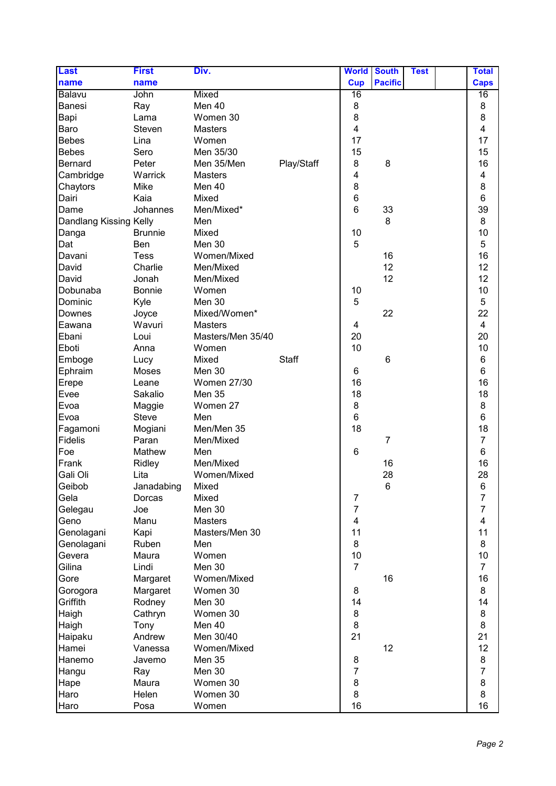| <b>Pacific</b><br>name<br><b>Cup</b><br><b>Caps</b><br>name<br>16<br>Balavu<br>John<br><b>Mixed</b><br>16<br>Men 40<br>8<br>8<br>Banesi<br>Ray<br>8<br>8<br>Bapi<br>Women 30<br>Lama<br>$\overline{\mathbf{4}}$<br>4<br>Baro<br>Steven<br><b>Masters</b><br>17<br><b>Bebes</b><br>17<br>Lina<br>Women<br>15<br><b>Bebes</b><br>Men 35/30<br>15<br>Sero<br>16<br>Play/Staff<br>8<br>8<br><b>Bernard</b><br>Peter<br>Men 35/Men<br>4<br>4<br>Cambridge<br>Warrick<br><b>Masters</b><br>8<br>8<br>Men 40<br>Chaytors<br>Mike<br>6<br>6<br>Mixed<br>Dairi<br>Kaia<br>$6\phantom{1}$<br>39<br>Men/Mixed*<br>33<br>Johannes<br>Dame<br>8<br>Dandlang Kissing Kelly<br>Men<br>8<br>10<br>10<br><b>Brunnie</b><br>Mixed<br>Danga<br>5<br>5<br>Men 30<br>Dat<br><b>Ben</b><br>16<br>16<br><b>Tess</b><br>Women/Mixed<br>Davani<br>12<br>12<br>Charlie<br>Men/Mixed<br>David<br>12<br>12<br>David<br>Jonah<br>Men/Mixed<br>10<br>Dobunaba<br><b>Bonnie</b><br>10<br>Women<br>5<br>5<br>Dominic<br>Kyle<br>Men 30<br>22<br>Mixed/Women*<br>22<br>Joyce<br>Downes<br>Wavuri<br><b>Masters</b><br>4<br>Eawana<br>4<br>20<br>20<br>Masters/Men 35/40<br>Ebani<br>Loui<br>10<br>10<br>Eboti<br>Anna<br>Women<br>6<br>Mixed<br><b>Staff</b><br>Emboge<br>6<br>Lucy<br>6<br>Men 30<br>6<br>Ephraim<br>Moses<br>16<br>16<br><b>Women 27/30</b><br>Erepe<br>Leane<br>18<br>18<br><b>Men 35</b><br>Evee<br>Sakalio<br>8<br>8<br>Evoa<br>Women 27<br>Maggie<br>$6\phantom{1}$<br>$\,6$<br>Evoa<br><b>Steve</b><br>Men<br>18<br>18<br>Men/Men 35<br>Fagamoni<br>Mogiani<br>$\overline{7}$<br><b>Fidelis</b><br>Men/Mixed<br>7<br>Paran<br>$6\phantom{1}$<br>6<br>Foe<br>Mathew<br>Men<br>16<br>Men/Mixed<br>16<br>Frank<br>Ridley<br>28<br>28<br>Gali Oli<br>Lita<br>Women/Mixed<br>Geibob<br>Janadabing<br>Mixed<br>6<br>6<br>$\overline{7}$<br>Gela<br>Mixed<br>7<br>Dorcas<br>$\overline{7}$<br>7<br>Gelegau<br>Joe<br>Men 30<br>4<br>Geno<br>Manu<br><b>Masters</b><br>4<br>11<br>11<br>Genolagani<br>Kapi<br>Masters/Men 30<br>8<br>8<br>Genolagani<br>Ruben<br>Men<br>10<br>Women<br>10<br>Gevera<br>Maura<br>$\overline{7}$<br>$\overline{7}$<br>Gilina<br>Men 30<br>Lindi<br>16<br>Women/Mixed<br>16<br>Gore<br>Margaret<br>Women 30<br>8<br>8<br>Margaret<br>Gorogora<br>14<br>Men 30<br>14<br>Griffith<br>Rodney<br>Women 30<br>8<br>8<br>Haigh<br>Cathryn<br>8<br>Men 40<br>8<br>Haigh<br>Tony<br>21<br>21<br>Men 30/40<br>Haipaku<br>Andrew<br>12<br>12<br>Hamei<br>Vanessa<br>Women/Mixed<br>8<br>8<br>Hanemo<br><b>Men 35</b><br>Javemo<br>$\overline{7}$<br>$\overline{7}$<br>Men 30<br>Hangu<br>Ray<br>8<br>8<br>Women 30<br>Hape<br>Maura<br>8<br>8<br>Helen<br>Women 30<br>Haro | <b>Last</b> | <b>First</b> | Div. | <b>World</b> | <b>South</b> | <b>Test</b> | <b>Total</b> |
|-----------------------------------------------------------------------------------------------------------------------------------------------------------------------------------------------------------------------------------------------------------------------------------------------------------------------------------------------------------------------------------------------------------------------------------------------------------------------------------------------------------------------------------------------------------------------------------------------------------------------------------------------------------------------------------------------------------------------------------------------------------------------------------------------------------------------------------------------------------------------------------------------------------------------------------------------------------------------------------------------------------------------------------------------------------------------------------------------------------------------------------------------------------------------------------------------------------------------------------------------------------------------------------------------------------------------------------------------------------------------------------------------------------------------------------------------------------------------------------------------------------------------------------------------------------------------------------------------------------------------------------------------------------------------------------------------------------------------------------------------------------------------------------------------------------------------------------------------------------------------------------------------------------------------------------------------------------------------------------------------------------------------------------------------------------------------------------------------------------------------------------------------------------------------------------------------------------------------------------------------------------------------------------------------------------------------------------------------------------------------------------------------------------------------------------------------------------------------------------------------------------------------------------------------------------------------------------------------------------------------------------------------------------------------------|-------------|--------------|------|--------------|--------------|-------------|--------------|
|                                                                                                                                                                                                                                                                                                                                                                                                                                                                                                                                                                                                                                                                                                                                                                                                                                                                                                                                                                                                                                                                                                                                                                                                                                                                                                                                                                                                                                                                                                                                                                                                                                                                                                                                                                                                                                                                                                                                                                                                                                                                                                                                                                                                                                                                                                                                                                                                                                                                                                                                                                                                                                                                             |             |              |      |              |              |             |              |
|                                                                                                                                                                                                                                                                                                                                                                                                                                                                                                                                                                                                                                                                                                                                                                                                                                                                                                                                                                                                                                                                                                                                                                                                                                                                                                                                                                                                                                                                                                                                                                                                                                                                                                                                                                                                                                                                                                                                                                                                                                                                                                                                                                                                                                                                                                                                                                                                                                                                                                                                                                                                                                                                             |             |              |      |              |              |             |              |
|                                                                                                                                                                                                                                                                                                                                                                                                                                                                                                                                                                                                                                                                                                                                                                                                                                                                                                                                                                                                                                                                                                                                                                                                                                                                                                                                                                                                                                                                                                                                                                                                                                                                                                                                                                                                                                                                                                                                                                                                                                                                                                                                                                                                                                                                                                                                                                                                                                                                                                                                                                                                                                                                             |             |              |      |              |              |             |              |
|                                                                                                                                                                                                                                                                                                                                                                                                                                                                                                                                                                                                                                                                                                                                                                                                                                                                                                                                                                                                                                                                                                                                                                                                                                                                                                                                                                                                                                                                                                                                                                                                                                                                                                                                                                                                                                                                                                                                                                                                                                                                                                                                                                                                                                                                                                                                                                                                                                                                                                                                                                                                                                                                             |             |              |      |              |              |             |              |
|                                                                                                                                                                                                                                                                                                                                                                                                                                                                                                                                                                                                                                                                                                                                                                                                                                                                                                                                                                                                                                                                                                                                                                                                                                                                                                                                                                                                                                                                                                                                                                                                                                                                                                                                                                                                                                                                                                                                                                                                                                                                                                                                                                                                                                                                                                                                                                                                                                                                                                                                                                                                                                                                             |             |              |      |              |              |             |              |
|                                                                                                                                                                                                                                                                                                                                                                                                                                                                                                                                                                                                                                                                                                                                                                                                                                                                                                                                                                                                                                                                                                                                                                                                                                                                                                                                                                                                                                                                                                                                                                                                                                                                                                                                                                                                                                                                                                                                                                                                                                                                                                                                                                                                                                                                                                                                                                                                                                                                                                                                                                                                                                                                             |             |              |      |              |              |             |              |
|                                                                                                                                                                                                                                                                                                                                                                                                                                                                                                                                                                                                                                                                                                                                                                                                                                                                                                                                                                                                                                                                                                                                                                                                                                                                                                                                                                                                                                                                                                                                                                                                                                                                                                                                                                                                                                                                                                                                                                                                                                                                                                                                                                                                                                                                                                                                                                                                                                                                                                                                                                                                                                                                             |             |              |      |              |              |             |              |
|                                                                                                                                                                                                                                                                                                                                                                                                                                                                                                                                                                                                                                                                                                                                                                                                                                                                                                                                                                                                                                                                                                                                                                                                                                                                                                                                                                                                                                                                                                                                                                                                                                                                                                                                                                                                                                                                                                                                                                                                                                                                                                                                                                                                                                                                                                                                                                                                                                                                                                                                                                                                                                                                             |             |              |      |              |              |             |              |
|                                                                                                                                                                                                                                                                                                                                                                                                                                                                                                                                                                                                                                                                                                                                                                                                                                                                                                                                                                                                                                                                                                                                                                                                                                                                                                                                                                                                                                                                                                                                                                                                                                                                                                                                                                                                                                                                                                                                                                                                                                                                                                                                                                                                                                                                                                                                                                                                                                                                                                                                                                                                                                                                             |             |              |      |              |              |             |              |
|                                                                                                                                                                                                                                                                                                                                                                                                                                                                                                                                                                                                                                                                                                                                                                                                                                                                                                                                                                                                                                                                                                                                                                                                                                                                                                                                                                                                                                                                                                                                                                                                                                                                                                                                                                                                                                                                                                                                                                                                                                                                                                                                                                                                                                                                                                                                                                                                                                                                                                                                                                                                                                                                             |             |              |      |              |              |             |              |
|                                                                                                                                                                                                                                                                                                                                                                                                                                                                                                                                                                                                                                                                                                                                                                                                                                                                                                                                                                                                                                                                                                                                                                                                                                                                                                                                                                                                                                                                                                                                                                                                                                                                                                                                                                                                                                                                                                                                                                                                                                                                                                                                                                                                                                                                                                                                                                                                                                                                                                                                                                                                                                                                             |             |              |      |              |              |             |              |
|                                                                                                                                                                                                                                                                                                                                                                                                                                                                                                                                                                                                                                                                                                                                                                                                                                                                                                                                                                                                                                                                                                                                                                                                                                                                                                                                                                                                                                                                                                                                                                                                                                                                                                                                                                                                                                                                                                                                                                                                                                                                                                                                                                                                                                                                                                                                                                                                                                                                                                                                                                                                                                                                             |             |              |      |              |              |             |              |
|                                                                                                                                                                                                                                                                                                                                                                                                                                                                                                                                                                                                                                                                                                                                                                                                                                                                                                                                                                                                                                                                                                                                                                                                                                                                                                                                                                                                                                                                                                                                                                                                                                                                                                                                                                                                                                                                                                                                                                                                                                                                                                                                                                                                                                                                                                                                                                                                                                                                                                                                                                                                                                                                             |             |              |      |              |              |             |              |
|                                                                                                                                                                                                                                                                                                                                                                                                                                                                                                                                                                                                                                                                                                                                                                                                                                                                                                                                                                                                                                                                                                                                                                                                                                                                                                                                                                                                                                                                                                                                                                                                                                                                                                                                                                                                                                                                                                                                                                                                                                                                                                                                                                                                                                                                                                                                                                                                                                                                                                                                                                                                                                                                             |             |              |      |              |              |             |              |
|                                                                                                                                                                                                                                                                                                                                                                                                                                                                                                                                                                                                                                                                                                                                                                                                                                                                                                                                                                                                                                                                                                                                                                                                                                                                                                                                                                                                                                                                                                                                                                                                                                                                                                                                                                                                                                                                                                                                                                                                                                                                                                                                                                                                                                                                                                                                                                                                                                                                                                                                                                                                                                                                             |             |              |      |              |              |             |              |
|                                                                                                                                                                                                                                                                                                                                                                                                                                                                                                                                                                                                                                                                                                                                                                                                                                                                                                                                                                                                                                                                                                                                                                                                                                                                                                                                                                                                                                                                                                                                                                                                                                                                                                                                                                                                                                                                                                                                                                                                                                                                                                                                                                                                                                                                                                                                                                                                                                                                                                                                                                                                                                                                             |             |              |      |              |              |             |              |
|                                                                                                                                                                                                                                                                                                                                                                                                                                                                                                                                                                                                                                                                                                                                                                                                                                                                                                                                                                                                                                                                                                                                                                                                                                                                                                                                                                                                                                                                                                                                                                                                                                                                                                                                                                                                                                                                                                                                                                                                                                                                                                                                                                                                                                                                                                                                                                                                                                                                                                                                                                                                                                                                             |             |              |      |              |              |             |              |
|                                                                                                                                                                                                                                                                                                                                                                                                                                                                                                                                                                                                                                                                                                                                                                                                                                                                                                                                                                                                                                                                                                                                                                                                                                                                                                                                                                                                                                                                                                                                                                                                                                                                                                                                                                                                                                                                                                                                                                                                                                                                                                                                                                                                                                                                                                                                                                                                                                                                                                                                                                                                                                                                             |             |              |      |              |              |             |              |
|                                                                                                                                                                                                                                                                                                                                                                                                                                                                                                                                                                                                                                                                                                                                                                                                                                                                                                                                                                                                                                                                                                                                                                                                                                                                                                                                                                                                                                                                                                                                                                                                                                                                                                                                                                                                                                                                                                                                                                                                                                                                                                                                                                                                                                                                                                                                                                                                                                                                                                                                                                                                                                                                             |             |              |      |              |              |             |              |
|                                                                                                                                                                                                                                                                                                                                                                                                                                                                                                                                                                                                                                                                                                                                                                                                                                                                                                                                                                                                                                                                                                                                                                                                                                                                                                                                                                                                                                                                                                                                                                                                                                                                                                                                                                                                                                                                                                                                                                                                                                                                                                                                                                                                                                                                                                                                                                                                                                                                                                                                                                                                                                                                             |             |              |      |              |              |             |              |
|                                                                                                                                                                                                                                                                                                                                                                                                                                                                                                                                                                                                                                                                                                                                                                                                                                                                                                                                                                                                                                                                                                                                                                                                                                                                                                                                                                                                                                                                                                                                                                                                                                                                                                                                                                                                                                                                                                                                                                                                                                                                                                                                                                                                                                                                                                                                                                                                                                                                                                                                                                                                                                                                             |             |              |      |              |              |             |              |
|                                                                                                                                                                                                                                                                                                                                                                                                                                                                                                                                                                                                                                                                                                                                                                                                                                                                                                                                                                                                                                                                                                                                                                                                                                                                                                                                                                                                                                                                                                                                                                                                                                                                                                                                                                                                                                                                                                                                                                                                                                                                                                                                                                                                                                                                                                                                                                                                                                                                                                                                                                                                                                                                             |             |              |      |              |              |             |              |
|                                                                                                                                                                                                                                                                                                                                                                                                                                                                                                                                                                                                                                                                                                                                                                                                                                                                                                                                                                                                                                                                                                                                                                                                                                                                                                                                                                                                                                                                                                                                                                                                                                                                                                                                                                                                                                                                                                                                                                                                                                                                                                                                                                                                                                                                                                                                                                                                                                                                                                                                                                                                                                                                             |             |              |      |              |              |             |              |
|                                                                                                                                                                                                                                                                                                                                                                                                                                                                                                                                                                                                                                                                                                                                                                                                                                                                                                                                                                                                                                                                                                                                                                                                                                                                                                                                                                                                                                                                                                                                                                                                                                                                                                                                                                                                                                                                                                                                                                                                                                                                                                                                                                                                                                                                                                                                                                                                                                                                                                                                                                                                                                                                             |             |              |      |              |              |             |              |
|                                                                                                                                                                                                                                                                                                                                                                                                                                                                                                                                                                                                                                                                                                                                                                                                                                                                                                                                                                                                                                                                                                                                                                                                                                                                                                                                                                                                                                                                                                                                                                                                                                                                                                                                                                                                                                                                                                                                                                                                                                                                                                                                                                                                                                                                                                                                                                                                                                                                                                                                                                                                                                                                             |             |              |      |              |              |             |              |
|                                                                                                                                                                                                                                                                                                                                                                                                                                                                                                                                                                                                                                                                                                                                                                                                                                                                                                                                                                                                                                                                                                                                                                                                                                                                                                                                                                                                                                                                                                                                                                                                                                                                                                                                                                                                                                                                                                                                                                                                                                                                                                                                                                                                                                                                                                                                                                                                                                                                                                                                                                                                                                                                             |             |              |      |              |              |             |              |
|                                                                                                                                                                                                                                                                                                                                                                                                                                                                                                                                                                                                                                                                                                                                                                                                                                                                                                                                                                                                                                                                                                                                                                                                                                                                                                                                                                                                                                                                                                                                                                                                                                                                                                                                                                                                                                                                                                                                                                                                                                                                                                                                                                                                                                                                                                                                                                                                                                                                                                                                                                                                                                                                             |             |              |      |              |              |             |              |
|                                                                                                                                                                                                                                                                                                                                                                                                                                                                                                                                                                                                                                                                                                                                                                                                                                                                                                                                                                                                                                                                                                                                                                                                                                                                                                                                                                                                                                                                                                                                                                                                                                                                                                                                                                                                                                                                                                                                                                                                                                                                                                                                                                                                                                                                                                                                                                                                                                                                                                                                                                                                                                                                             |             |              |      |              |              |             |              |
|                                                                                                                                                                                                                                                                                                                                                                                                                                                                                                                                                                                                                                                                                                                                                                                                                                                                                                                                                                                                                                                                                                                                                                                                                                                                                                                                                                                                                                                                                                                                                                                                                                                                                                                                                                                                                                                                                                                                                                                                                                                                                                                                                                                                                                                                                                                                                                                                                                                                                                                                                                                                                                                                             |             |              |      |              |              |             |              |
|                                                                                                                                                                                                                                                                                                                                                                                                                                                                                                                                                                                                                                                                                                                                                                                                                                                                                                                                                                                                                                                                                                                                                                                                                                                                                                                                                                                                                                                                                                                                                                                                                                                                                                                                                                                                                                                                                                                                                                                                                                                                                                                                                                                                                                                                                                                                                                                                                                                                                                                                                                                                                                                                             |             |              |      |              |              |             |              |
|                                                                                                                                                                                                                                                                                                                                                                                                                                                                                                                                                                                                                                                                                                                                                                                                                                                                                                                                                                                                                                                                                                                                                                                                                                                                                                                                                                                                                                                                                                                                                                                                                                                                                                                                                                                                                                                                                                                                                                                                                                                                                                                                                                                                                                                                                                                                                                                                                                                                                                                                                                                                                                                                             |             |              |      |              |              |             |              |
|                                                                                                                                                                                                                                                                                                                                                                                                                                                                                                                                                                                                                                                                                                                                                                                                                                                                                                                                                                                                                                                                                                                                                                                                                                                                                                                                                                                                                                                                                                                                                                                                                                                                                                                                                                                                                                                                                                                                                                                                                                                                                                                                                                                                                                                                                                                                                                                                                                                                                                                                                                                                                                                                             |             |              |      |              |              |             |              |
|                                                                                                                                                                                                                                                                                                                                                                                                                                                                                                                                                                                                                                                                                                                                                                                                                                                                                                                                                                                                                                                                                                                                                                                                                                                                                                                                                                                                                                                                                                                                                                                                                                                                                                                                                                                                                                                                                                                                                                                                                                                                                                                                                                                                                                                                                                                                                                                                                                                                                                                                                                                                                                                                             |             |              |      |              |              |             |              |
|                                                                                                                                                                                                                                                                                                                                                                                                                                                                                                                                                                                                                                                                                                                                                                                                                                                                                                                                                                                                                                                                                                                                                                                                                                                                                                                                                                                                                                                                                                                                                                                                                                                                                                                                                                                                                                                                                                                                                                                                                                                                                                                                                                                                                                                                                                                                                                                                                                                                                                                                                                                                                                                                             |             |              |      |              |              |             |              |
|                                                                                                                                                                                                                                                                                                                                                                                                                                                                                                                                                                                                                                                                                                                                                                                                                                                                                                                                                                                                                                                                                                                                                                                                                                                                                                                                                                                                                                                                                                                                                                                                                                                                                                                                                                                                                                                                                                                                                                                                                                                                                                                                                                                                                                                                                                                                                                                                                                                                                                                                                                                                                                                                             |             |              |      |              |              |             |              |
|                                                                                                                                                                                                                                                                                                                                                                                                                                                                                                                                                                                                                                                                                                                                                                                                                                                                                                                                                                                                                                                                                                                                                                                                                                                                                                                                                                                                                                                                                                                                                                                                                                                                                                                                                                                                                                                                                                                                                                                                                                                                                                                                                                                                                                                                                                                                                                                                                                                                                                                                                                                                                                                                             |             |              |      |              |              |             |              |
|                                                                                                                                                                                                                                                                                                                                                                                                                                                                                                                                                                                                                                                                                                                                                                                                                                                                                                                                                                                                                                                                                                                                                                                                                                                                                                                                                                                                                                                                                                                                                                                                                                                                                                                                                                                                                                                                                                                                                                                                                                                                                                                                                                                                                                                                                                                                                                                                                                                                                                                                                                                                                                                                             |             |              |      |              |              |             |              |
|                                                                                                                                                                                                                                                                                                                                                                                                                                                                                                                                                                                                                                                                                                                                                                                                                                                                                                                                                                                                                                                                                                                                                                                                                                                                                                                                                                                                                                                                                                                                                                                                                                                                                                                                                                                                                                                                                                                                                                                                                                                                                                                                                                                                                                                                                                                                                                                                                                                                                                                                                                                                                                                                             |             |              |      |              |              |             |              |
|                                                                                                                                                                                                                                                                                                                                                                                                                                                                                                                                                                                                                                                                                                                                                                                                                                                                                                                                                                                                                                                                                                                                                                                                                                                                                                                                                                                                                                                                                                                                                                                                                                                                                                                                                                                                                                                                                                                                                                                                                                                                                                                                                                                                                                                                                                                                                                                                                                                                                                                                                                                                                                                                             |             |              |      |              |              |             |              |
|                                                                                                                                                                                                                                                                                                                                                                                                                                                                                                                                                                                                                                                                                                                                                                                                                                                                                                                                                                                                                                                                                                                                                                                                                                                                                                                                                                                                                                                                                                                                                                                                                                                                                                                                                                                                                                                                                                                                                                                                                                                                                                                                                                                                                                                                                                                                                                                                                                                                                                                                                                                                                                                                             |             |              |      |              |              |             |              |
|                                                                                                                                                                                                                                                                                                                                                                                                                                                                                                                                                                                                                                                                                                                                                                                                                                                                                                                                                                                                                                                                                                                                                                                                                                                                                                                                                                                                                                                                                                                                                                                                                                                                                                                                                                                                                                                                                                                                                                                                                                                                                                                                                                                                                                                                                                                                                                                                                                                                                                                                                                                                                                                                             |             |              |      |              |              |             |              |
|                                                                                                                                                                                                                                                                                                                                                                                                                                                                                                                                                                                                                                                                                                                                                                                                                                                                                                                                                                                                                                                                                                                                                                                                                                                                                                                                                                                                                                                                                                                                                                                                                                                                                                                                                                                                                                                                                                                                                                                                                                                                                                                                                                                                                                                                                                                                                                                                                                                                                                                                                                                                                                                                             |             |              |      |              |              |             |              |
|                                                                                                                                                                                                                                                                                                                                                                                                                                                                                                                                                                                                                                                                                                                                                                                                                                                                                                                                                                                                                                                                                                                                                                                                                                                                                                                                                                                                                                                                                                                                                                                                                                                                                                                                                                                                                                                                                                                                                                                                                                                                                                                                                                                                                                                                                                                                                                                                                                                                                                                                                                                                                                                                             |             |              |      |              |              |             |              |
|                                                                                                                                                                                                                                                                                                                                                                                                                                                                                                                                                                                                                                                                                                                                                                                                                                                                                                                                                                                                                                                                                                                                                                                                                                                                                                                                                                                                                                                                                                                                                                                                                                                                                                                                                                                                                                                                                                                                                                                                                                                                                                                                                                                                                                                                                                                                                                                                                                                                                                                                                                                                                                                                             |             |              |      |              |              |             |              |
|                                                                                                                                                                                                                                                                                                                                                                                                                                                                                                                                                                                                                                                                                                                                                                                                                                                                                                                                                                                                                                                                                                                                                                                                                                                                                                                                                                                                                                                                                                                                                                                                                                                                                                                                                                                                                                                                                                                                                                                                                                                                                                                                                                                                                                                                                                                                                                                                                                                                                                                                                                                                                                                                             |             |              |      |              |              |             |              |
|                                                                                                                                                                                                                                                                                                                                                                                                                                                                                                                                                                                                                                                                                                                                                                                                                                                                                                                                                                                                                                                                                                                                                                                                                                                                                                                                                                                                                                                                                                                                                                                                                                                                                                                                                                                                                                                                                                                                                                                                                                                                                                                                                                                                                                                                                                                                                                                                                                                                                                                                                                                                                                                                             |             |              |      |              |              |             |              |
|                                                                                                                                                                                                                                                                                                                                                                                                                                                                                                                                                                                                                                                                                                                                                                                                                                                                                                                                                                                                                                                                                                                                                                                                                                                                                                                                                                                                                                                                                                                                                                                                                                                                                                                                                                                                                                                                                                                                                                                                                                                                                                                                                                                                                                                                                                                                                                                                                                                                                                                                                                                                                                                                             |             |              |      |              |              |             |              |
|                                                                                                                                                                                                                                                                                                                                                                                                                                                                                                                                                                                                                                                                                                                                                                                                                                                                                                                                                                                                                                                                                                                                                                                                                                                                                                                                                                                                                                                                                                                                                                                                                                                                                                                                                                                                                                                                                                                                                                                                                                                                                                                                                                                                                                                                                                                                                                                                                                                                                                                                                                                                                                                                             |             |              |      |              |              |             |              |
|                                                                                                                                                                                                                                                                                                                                                                                                                                                                                                                                                                                                                                                                                                                                                                                                                                                                                                                                                                                                                                                                                                                                                                                                                                                                                                                                                                                                                                                                                                                                                                                                                                                                                                                                                                                                                                                                                                                                                                                                                                                                                                                                                                                                                                                                                                                                                                                                                                                                                                                                                                                                                                                                             |             |              |      |              |              |             |              |
|                                                                                                                                                                                                                                                                                                                                                                                                                                                                                                                                                                                                                                                                                                                                                                                                                                                                                                                                                                                                                                                                                                                                                                                                                                                                                                                                                                                                                                                                                                                                                                                                                                                                                                                                                                                                                                                                                                                                                                                                                                                                                                                                                                                                                                                                                                                                                                                                                                                                                                                                                                                                                                                                             |             |              |      |              |              |             |              |
|                                                                                                                                                                                                                                                                                                                                                                                                                                                                                                                                                                                                                                                                                                                                                                                                                                                                                                                                                                                                                                                                                                                                                                                                                                                                                                                                                                                                                                                                                                                                                                                                                                                                                                                                                                                                                                                                                                                                                                                                                                                                                                                                                                                                                                                                                                                                                                                                                                                                                                                                                                                                                                                                             |             |              |      |              |              |             |              |
|                                                                                                                                                                                                                                                                                                                                                                                                                                                                                                                                                                                                                                                                                                                                                                                                                                                                                                                                                                                                                                                                                                                                                                                                                                                                                                                                                                                                                                                                                                                                                                                                                                                                                                                                                                                                                                                                                                                                                                                                                                                                                                                                                                                                                                                                                                                                                                                                                                                                                                                                                                                                                                                                             |             |              |      |              |              |             |              |
|                                                                                                                                                                                                                                                                                                                                                                                                                                                                                                                                                                                                                                                                                                                                                                                                                                                                                                                                                                                                                                                                                                                                                                                                                                                                                                                                                                                                                                                                                                                                                                                                                                                                                                                                                                                                                                                                                                                                                                                                                                                                                                                                                                                                                                                                                                                                                                                                                                                                                                                                                                                                                                                                             |             |              |      |              |              |             |              |
|                                                                                                                                                                                                                                                                                                                                                                                                                                                                                                                                                                                                                                                                                                                                                                                                                                                                                                                                                                                                                                                                                                                                                                                                                                                                                                                                                                                                                                                                                                                                                                                                                                                                                                                                                                                                                                                                                                                                                                                                                                                                                                                                                                                                                                                                                                                                                                                                                                                                                                                                                                                                                                                                             |             |              |      |              |              |             |              |
| 16<br>16<br>Haro<br>Posa<br>Women                                                                                                                                                                                                                                                                                                                                                                                                                                                                                                                                                                                                                                                                                                                                                                                                                                                                                                                                                                                                                                                                                                                                                                                                                                                                                                                                                                                                                                                                                                                                                                                                                                                                                                                                                                                                                                                                                                                                                                                                                                                                                                                                                                                                                                                                                                                                                                                                                                                                                                                                                                                                                                           |             |              |      |              |              |             |              |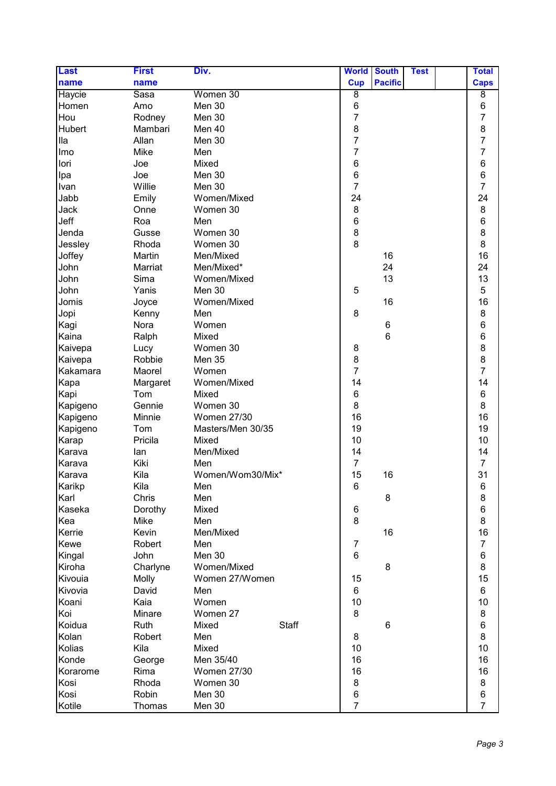| <b>Last</b> | <b>First</b>   | Div.                  | <b>World</b>   | <b>South</b>   | <b>Test</b> | <b>Total</b>                          |
|-------------|----------------|-----------------------|----------------|----------------|-------------|---------------------------------------|
| name        | name           |                       | <b>Cup</b>     | <b>Pacific</b> |             | <b>Caps</b>                           |
| Haycie      | Sasa           | Women 30              | 8              |                |             | $\overline{8}$                        |
| Homen       | Amo            | Men 30                | $\,6$          |                |             | 6                                     |
| Hou         | Rodney         | Men 30                | $\overline{7}$ |                |             | $\overline{7}$                        |
| Hubert      | Mambari        | Men 40                | $\bf 8$        |                |             | $\begin{array}{c} 8 \\ 7 \end{array}$ |
| lla         | Allan          | Men 30                | $\overline{7}$ |                |             |                                       |
| Imo         | Mike           | Men                   | $\overline{7}$ |                |             | $\overline{7}$                        |
| lori        | Joe            | Mixed                 | 6              |                |             | 6                                     |
| Ipa         | Joe            | Men 30                | $\,6$          |                |             | 6                                     |
| Ivan        | Willie         | Men 30                | $\overline{7}$ |                |             | $\overline{7}$                        |
| Jabb        | Emily          | Women/Mixed           | 24             |                |             | 24                                    |
| Jack        | Onne           | Women 30              | 8              |                |             | 8                                     |
| Jeff        | Roa            | Men                   | $\,6$          |                |             | 6                                     |
| Jenda       | Gusse          | Women 30              | 8              |                |             | 8                                     |
| Jessley     | Rhoda          | Women 30              | 8              |                |             | 8                                     |
| Joffey      | Martin         | Men/Mixed             |                | 16             |             | 16                                    |
| John        | Marriat        | Men/Mixed*            |                | 24             |             | 24                                    |
| John        | Sima           | Women/Mixed           |                | 13             |             | 13                                    |
| John        | Yanis          | Men 30                | 5              |                |             | 5                                     |
| Jomis       | Joyce          | Women/Mixed           |                | 16             |             | 16                                    |
| Jopi        | Kenny          | Men                   | 8              |                |             | 8                                     |
| Kagi        | Nora           | Women                 |                | 6              |             | 6                                     |
| Kaina       | Ralph          | Mixed                 |                | 6              |             | 6                                     |
| Kaivepa     | Lucy           | Women 30              | 8              |                |             | 8                                     |
| Kaivepa     | Robbie         | Men 35                | 8              |                |             | 8                                     |
| Kakamara    | Maorel         | Women                 | $\overline{7}$ |                |             | $\overline{7}$                        |
| Kapa        | Margaret       | Women/Mixed           | 14             |                |             | 14                                    |
| Kapi        | Tom            | Mixed                 | 6              |                |             | 6                                     |
| Kapigeno    | Gennie         | Women 30              | 8              |                |             | 8                                     |
| Kapigeno    | Minnie         | <b>Women 27/30</b>    | 16             |                |             | 16                                    |
| Kapigeno    | Tom            | Masters/Men 30/35     | 19             |                |             | 19                                    |
| Karap       | Pricila        | Mixed                 | 10             |                |             | 10                                    |
| Karava      | lan            | Men/Mixed             | 14             |                |             | 14                                    |
| Karava      | Kiki           | Men                   | $\overline{7}$ |                |             | $\overline{7}$                        |
| Karava      | Kila           | Women/Wom30/Mix*      | 15             | 16             |             | 31                                    |
| Karikp      | Kila           | Men                   | 6              |                |             | 6                                     |
| Karl        | Chris          | Men                   |                | 8              |             | 8                                     |
| Kaseka      | Dorothy        | Mixed                 | 6              |                |             | 6                                     |
| Kea         | Mike           | Men                   | 8              |                |             | 8                                     |
| Kerrie      | Kevin          | Men/Mixed             |                | 16             |             | 16                                    |
| Kewe        | Robert         | Men                   | $\overline{7}$ |                |             | $\overline{7}$                        |
| Kingal      | John           | Men 30                | $6\phantom{1}$ |                |             | 6                                     |
| Kiroha      | Charlyne       | Women/Mixed           |                | 8              |             | 8                                     |
| Kivouia     |                | Women 27/Women        | 15             |                |             | 15                                    |
| Kivovia     | Molly<br>David | Men                   | 6              |                |             | $6\phantom{1}$                        |
| Koani       | Kaia           | Women                 | 10             |                |             | 10                                    |
| Koi         | Minare         | Women 27              | 8              |                |             | 8                                     |
| Koidua      | Ruth           | <b>Staff</b><br>Mixed |                | 6              |             | 6                                     |
|             |                |                       |                |                |             |                                       |
| Kolan       | Robert         | Men                   | 8              |                |             | 8<br>10                               |
| Kolias      | Kila           | Mixed                 | 10             |                |             |                                       |
| Konde       | George         | Men 35/40             | 16             |                |             | 16                                    |
| Korarome    | Rima           | <b>Women 27/30</b>    | 16             |                |             | 16                                    |
| Kosi        | Rhoda          | Women 30              | 8              |                |             | 8                                     |
| Kosi        | Robin          | Men 30                | $\,6$          |                |             | $\,6$                                 |
| Kotile      | Thomas         | Men 30                | $\overline{7}$ |                |             | $\overline{7}$                        |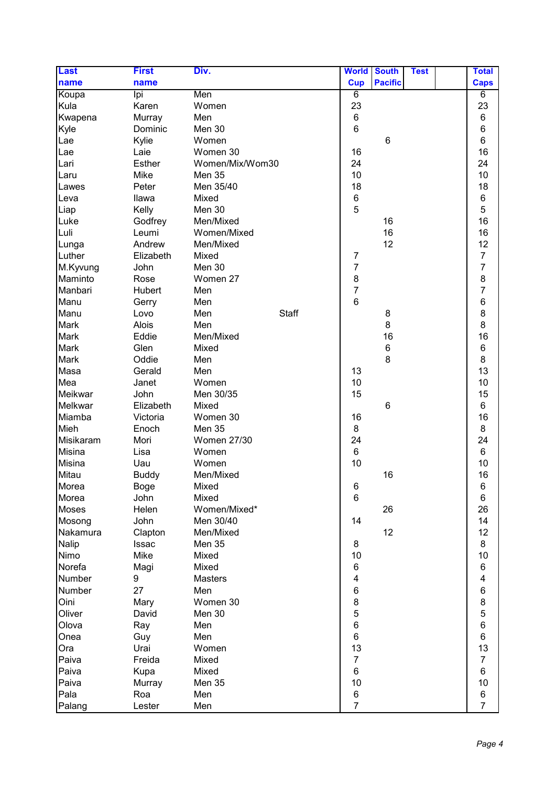| <b>Last</b> | <b>First</b> | Div.               |              | <b>World</b>   | <b>South</b>   | <b>Test</b> | <b>Total</b>                          |
|-------------|--------------|--------------------|--------------|----------------|----------------|-------------|---------------------------------------|
| name        | name         |                    |              | <b>Cup</b>     | <b>Pacific</b> |             | <b>Caps</b>                           |
| Koupa       | lpi          | Men                |              | 6              |                |             | 6                                     |
| Kula        | Karen        | Women              |              | 23             |                |             | 23                                    |
| Kwapena     | Murray       | Men                |              | 6              |                |             | $\,6\,$                               |
| Kyle        | Dominic      | Men 30             |              | $6\phantom{1}$ |                |             | 6                                     |
| Lae         | Kylie        | Women              |              |                | 6              |             | $\,6$                                 |
| Lae         | Laie         | Women 30           |              | 16             |                |             | 16                                    |
| Lari        | Esther       | Women/Mix/Wom30    |              | 24             |                |             | 24                                    |
| Laru        | Mike         | Men 35             |              | 10             |                |             | 10                                    |
| Lawes       | Peter        | Men 35/40          |              | 18             |                |             | 18                                    |
| Leva        | Ilawa        | Mixed              |              | $\,6$          |                |             | 6                                     |
| Liap        | Kelly        | Men 30             |              | 5              |                |             | 5                                     |
| Luke        | Godfrey      | Men/Mixed          |              |                | 16             |             | 16                                    |
| Luli        | Leumi        | Women/Mixed        |              |                | 16             |             | 16                                    |
| Lunga       | Andrew       | Men/Mixed          |              |                | 12             |             | 12                                    |
| Luther      | Elizabeth    | Mixed              |              | $\overline{7}$ |                |             | $\overline{\mathcal{I}}$              |
| M.Kyvung    | John         | Men 30             |              | $\overline{7}$ |                |             | $\overline{7}$                        |
| Maminto     | Rose         | Women 27           |              | $\bf 8$        |                |             | $\begin{array}{c} 8 \\ 7 \end{array}$ |
| Manbari     | Hubert       | Men                |              | $\overline{7}$ |                |             |                                       |
| Manu        | Gerry        | Men                |              | $6\phantom{a}$ |                |             | 6                                     |
| Manu        | Lovo         | Men                | <b>Staff</b> |                | 8              |             | $\begin{array}{c} 8 \\ 8 \end{array}$ |
| Mark        | Alois        | Men                |              |                | 8              |             |                                       |
| Mark        | Eddie        | Men/Mixed          |              |                | 16             |             | 16                                    |
| Mark        | Glen         | Mixed              |              |                | 6              |             | 6                                     |
| Mark        | Oddie        | Men                |              |                | 8              |             | 8                                     |
| Masa        | Gerald       | Men                |              | 13             |                |             | 13                                    |
| Mea         | Janet        | Women              |              | 10             |                |             | 10                                    |
| Meikwar     | John         | Men 30/35          |              | 15             |                |             | 15                                    |
| Melkwar     | Elizabeth    | Mixed              |              |                | 6              |             | 6                                     |
| Miamba      | Victoria     | Women 30           |              | 16             |                |             | 16                                    |
| Mieh        | Enoch        | Men 35             |              | 8              |                |             | 8                                     |
| Misikaram   | Mori         | <b>Women 27/30</b> |              | 24             |                |             | 24                                    |
| Misina      | Lisa         | Women              |              | 6              |                |             | $\,6$                                 |
| Misina      | Uau          | Women              |              | 10             |                |             | 10                                    |
| Mitau       | <b>Buddy</b> | Men/Mixed          |              |                | 16             |             | 16                                    |
| Morea       | Boge         | Mixed              |              | 6              |                |             | 6                                     |
| Morea       | John         | Mixed              |              | 6              |                |             | 6                                     |
| Moses       | Helen        | Women/Mixed*       |              |                | 26             |             | 26                                    |
| Mosong      | John         | Men 30/40          |              | 14             |                |             | 14                                    |
| Nakamura    | Clapton      | Men/Mixed          |              |                | 12             |             | 12                                    |
| Nalip       | Issac        | Men 35             |              | 8              |                |             | 8                                     |
| Nimo        | Mike         | Mixed              |              | 10             |                |             | 10                                    |
| Norefa      | Magi         | Mixed              |              | 6              |                |             | 6                                     |
| Number      | 9            | <b>Masters</b>     |              | 4              |                |             | 4                                     |
| Number      | 27           | Men                |              | $\,6$          |                |             | 6                                     |
| Oini        | Mary         | Women 30           |              | 8              |                |             | 8                                     |
| Oliver      | David        | Men 30             |              | 5              |                |             | 5                                     |
| Olova       | Ray          | Men                |              | $\,6$          |                |             | 6                                     |
| Onea        | Guy          | Men                |              | 6              |                |             | $\,6\,$                               |
| Ora         | Urai         | Women              |              | 13             |                |             | 13                                    |
| Paiva       | Freida       | Mixed              |              | $\overline{7}$ |                |             | $\overline{7}$                        |
| Paiva       | Kupa         | Mixed              |              | 6              |                |             | 6                                     |
| Paiva       | Murray       | <b>Men 35</b>      |              | 10             |                |             | 10                                    |
| Pala        | Roa          | Men                |              | 6              |                |             | 6                                     |
| Palang      | Lester       | Men                |              | $\overline{7}$ |                |             | $\overline{7}$                        |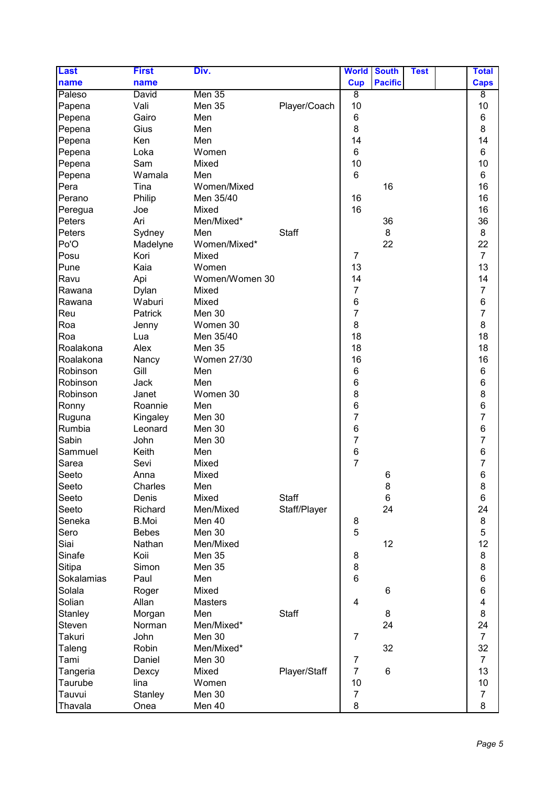| <b>Last</b> | <b>First</b> | Div.               |              | <b>World</b>    | <b>South</b>   | <b>Test</b> | <b>Total</b>            |
|-------------|--------------|--------------------|--------------|-----------------|----------------|-------------|-------------------------|
| name        | name         |                    |              | <b>Cup</b>      | <b>Pacific</b> |             | <b>Caps</b>             |
| Paleso      | David        | Men 35             |              | $\overline{8}$  |                |             | $\overline{8}$          |
| Papena      | Vali         | Men 35             | Player/Coach | 10              |                |             | 10                      |
| Pepena      | Gairo        | Men                |              | 6               |                |             | 6                       |
| Pepena      | Gius         | Men                |              | 8               |                |             | 8                       |
| Pepena      | Ken          | Men                |              | 14              |                |             | 14                      |
| Pepena      | Loka         | Women              |              | 6               |                |             | 6                       |
| Pepena      | Sam          | Mixed              |              | 10              |                |             | 10                      |
| Pepena      | Wamala       | Men                |              | $6\phantom{1}$  |                |             | $6\phantom{1}$          |
| Pera        | Tina         | Women/Mixed        |              |                 | 16             |             | 16                      |
| Perano      | Philip       | Men 35/40          |              | 16              |                |             | 16                      |
| Peregua     | Joe          | Mixed              |              | 16              |                |             | 16                      |
| Peters      | Ari          | Men/Mixed*         |              |                 | 36             |             | 36                      |
| Peters      | Sydney       | Men                | <b>Staff</b> |                 | 8              |             | 8                       |
| Po'O        | Madelyne     | Women/Mixed*       |              |                 | 22             |             | 22                      |
| Posu        | Kori         | Mixed              |              | $\overline{7}$  |                |             | $\overline{7}$          |
| Pune        | Kaia         | Women              |              | 13              |                |             | 13                      |
| Ravu        | Api          | Women/Women 30     |              | 14              |                |             | 14                      |
| Rawana      | Dylan        | Mixed              |              | $\overline{7}$  |                |             | $\overline{7}$          |
| Rawana      | Waburi       | Mixed              |              | 6               |                |             | $\boldsymbol{6}$        |
| Reu         | Patrick      | Men 30             |              | 7               |                |             | $\overline{7}$          |
| Roa         | Jenny        | Women 30           |              | 8               |                |             | 8                       |
| Roa         | Lua          | Men 35/40          |              | 18              |                |             | 18                      |
| Roalakona   | Alex         | Men 35             |              | 18              |                |             | 18                      |
| Roalakona   | Nancy        | <b>Women 27/30</b> |              | 16              |                |             | 16                      |
| Robinson    | Gill         | Men                |              | 6               |                |             | $\,6\,$                 |
| Robinson    | Jack         | Men                |              | 6               |                |             | 6                       |
| Robinson    | Janet        | Women 30           |              | 8               |                |             | 8                       |
| Ronny       | Roannie      | Men                |              | 6               |                |             | 6                       |
| Ruguna      | Kingaley     | Men 30             |              | $\overline{7}$  |                |             | $\overline{7}$          |
| Rumbia      | Leonard      | Men 30             |              | 6               |                |             | $\,6$                   |
| Sabin       | John         | Men 30             |              | $\overline{7}$  |                |             | $\overline{7}$          |
| Sammuel     | Keith        | Men                |              | $6\phantom{1}6$ |                |             | 6                       |
| Sarea       | Sevi         | Mixed              |              | $\overline{7}$  |                |             | $\overline{7}$          |
| Seeto       | Anna         | Mixed              |              |                 | 6              |             | 6                       |
| Seeto       | Charles      | Men                |              |                 | 8              |             | 8                       |
| Seeto       | Denis        | Mixed              | <b>Staff</b> |                 | 6              |             | $\,6$                   |
| Seeto       | Richard      | Men/Mixed          | Staff/Player |                 | 24             |             | 24                      |
| Seneka      | <b>B.Moi</b> | Men 40             |              | 8               |                |             | 8                       |
| Sero        | <b>Bebes</b> | Men 30             |              | 5               |                |             | 5                       |
| Siai        | Nathan       | Men/Mixed          |              |                 | 12             |             | 12                      |
| Sinafe      | Koii         | Men 35             |              | 8               |                |             | 8                       |
| Sitipa      | Simon        | Men 35             |              | 8               |                |             | 8                       |
| Sokalamias  | Paul         | Men                |              | 6               |                |             | $\,6$                   |
| Solala      | Roger        | Mixed              |              |                 | 6              |             | $\,6$                   |
| Solian      | Allan        | <b>Masters</b>     |              | 4               |                |             | $\overline{\mathbf{4}}$ |
| Stanley     | Morgan       | Men                | <b>Staff</b> |                 | 8              |             | 8                       |
| Steven      | Norman       | Men/Mixed*         |              |                 | 24             |             | 24                      |
| Takuri      | John         | Men 30             |              | $\overline{7}$  |                |             | $\overline{7}$          |
| Taleng      | Robin        | Men/Mixed*         |              |                 | 32             |             | 32                      |
| Tami        | Daniel       | Men 30             |              | 7               |                |             | $\overline{7}$          |
| Tangeria    | Dexcy        | Mixed              | Player/Staff | $\overline{7}$  | 6              |             | 13                      |
| Taurube     | lina         | Women              |              | 10              |                |             | 10                      |
| Tauvui      | Stanley      | Men 30             |              | $\overline{7}$  |                |             | $\overline{7}$          |
|             |              |                    |              | 8               |                |             | 8                       |
| Thavala     | Onea         | Men 40             |              |                 |                |             |                         |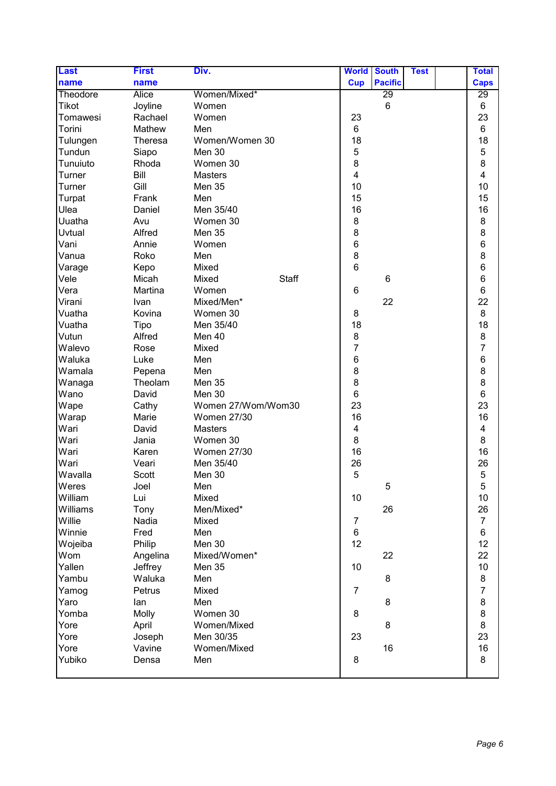| <b>Last</b> | <b>First</b>   | Div.                  | <b>World</b>   | <b>South</b>   | <b>Test</b> | <b>Total</b>   |
|-------------|----------------|-----------------------|----------------|----------------|-------------|----------------|
| name        | name           |                       | <b>Cup</b>     | <b>Pacific</b> |             | <b>Caps</b>    |
| Theodore    | <b>Alice</b>   | Women/Mixed*          |                | 29             |             | 29             |
| Tikot       | Joyline        | Women                 |                | 6              |             | 6              |
| Tomawesi    | Rachael        | Women                 | 23             |                |             | 23             |
| Torini      | Mathew         | Men                   | 6              |                |             | 6              |
| Tulungen    | <b>Theresa</b> | Women/Women 30        | 18             |                |             | 18             |
| Tundun      | Siapo          | Men 30                | 5              |                |             | $\mathbf 5$    |
| Tunuiuto    | Rhoda          | Women 30              | 8              |                |             | 8              |
| Turner      | Bill           | <b>Masters</b>        | 4              |                |             | 4              |
| Turner      | Gill           | Men 35                | 10             |                |             | 10             |
| Turpat      | Frank          | Men                   | 15             |                |             | 15             |
| Ulea        | Daniel         | Men 35/40             | 16             |                |             | 16             |
| Uuatha      | Avu            | Women 30              | 8              |                |             | 8              |
| Uvtual      | Alfred         | Men 35                | 8              |                |             | 8              |
| Vani        | Annie          | Women                 | $\,6$          |                |             | 6              |
| Vanua       | Roko           | Men                   | 8              |                |             | 8              |
| Varage      | Kepo           | Mixed                 | $6\phantom{1}$ |                |             | 6              |
| Vele        | Micah          | Mixed<br><b>Staff</b> |                | 6              |             | $\,6$          |
| Vera        | Martina        | Women                 | 6              |                |             | $\,6$          |
| Virani      | Ivan           | Mixed/Men*            |                | 22             |             | 22             |
| Vuatha      | Kovina         | Women 30              | 8              |                |             | 8              |
| Vuatha      | Tipo           | Men 35/40             | 18             |                |             | 18             |
| Vutun       | Alfred         | Men 40                | 8              |                |             | 8              |
| Walevo      | Rose           | Mixed                 | $\overline{7}$ |                |             | $\overline{7}$ |
| Waluka      | Luke           | Men                   | 6              |                |             | 6              |
| Wamala      | Pepena         | Men                   | 8              |                |             | 8              |
| Wanaga      | Theolam        | Men 35                | 8              |                |             | 8              |
| Wano        | David          | Men 30                | $\,6$          |                |             | 6              |
| Wape        | Cathy          | Women 27/Wom/Wom30    | 23             |                |             | 23             |
| Warap       | Marie          | <b>Women 27/30</b>    | 16             |                |             | 16             |
| Wari        | David          | <b>Masters</b>        | 4              |                |             | 4              |
| Wari        | Jania          | Women 30              | 8              |                |             | 8              |
| Wari        | Karen          | <b>Women 27/30</b>    | 16             |                |             | 16             |
| Wari        | Veari          | Men 35/40             | 26             |                |             | 26             |
| Wavalla     | <b>Scott</b>   | Men 30                | 5              |                |             | 5              |
| Weres       | Joel           | Men                   |                | 5              |             | 5              |
| William     | Lui            | Mixed                 | 10             |                |             | 10             |
| Williams    | Tony           | Men/Mixed*            |                | 26             |             | 26             |
| Willie      | Nadia          | Mixed                 | 7              |                |             | $\overline{7}$ |
| Winnie      | Fred           | Men                   | 6              |                |             | 6              |
| Wojeiba     | Philip         | Men 30                | 12             |                |             | 12             |
| Wom         | Angelina       | Mixed/Women*          |                | 22             |             | 22             |
| Yallen      | Jeffrey        | Men 35                | 10             |                |             | 10             |
| Yambu       | Waluka         | Men                   |                | 8              |             | 8              |
| Yamog       | Petrus         | Mixed                 | $\overline{7}$ |                |             | $\overline{7}$ |
| Yaro        | lan            | Men                   |                | $\bf 8$        |             | $\bf 8$        |
| Yomba       | <b>Molly</b>   | Women 30              | 8              |                |             | 8              |
| Yore        | April          | Women/Mixed           |                | 8              |             | 8              |
| Yore        | Joseph         | Men 30/35             | 23             |                |             | 23             |
| Yore        | Vavine         | Women/Mixed           |                | 16             |             | 16             |
| Yubiko      | Densa          | Men                   | 8              |                |             | 8              |
|             |                |                       |                |                |             |                |
|             |                |                       |                |                |             |                |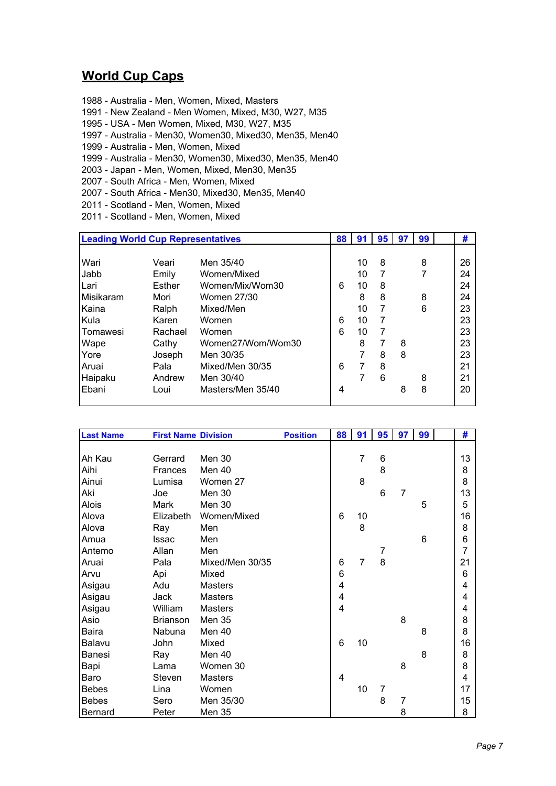## **World Cup Caps**

- 1988 Australia Men, Women, Mixed, Masters
- 1991 New Zealand Men Women, Mixed, M30, W27, M35
- 1995 USA Men Women, Mixed, M30, W27, M35
- 1997 Australia Men30, Women30, Mixed30, Men35, Men40
- 1999 Australia Men, Women, Mixed
- 1999 Australia Men30, Women30, Mixed30, Men35, Men40
- 2003 Japan Men, Women, Mixed, Men30, Men35
- 2007 South Africa Men, Women, Mixed
- 2007 South Africa Men30, Mixed30, Men35, Men40
- 2011 Scotland Men, Women, Mixed
- 2011 Scotland Men, Women, Mixed

| <b>Leading World Cup Representatives</b> |         |                   | 88 | 91 | 95 | 97 | 99 | #  |
|------------------------------------------|---------|-------------------|----|----|----|----|----|----|
|                                          |         |                   |    |    |    |    |    |    |
| Wari                                     | Veari   | Men 35/40         |    | 10 | 8  |    | 8  | 26 |
| Jabb                                     | Emily   | Women/Mixed       |    | 10 | 7  |    | 7  | 24 |
| Lari                                     | Esther  | Women/Mix/Wom30   | 6  | 10 | 8  |    |    | 24 |
| Misikaram                                | Mori    | Women 27/30       |    | 8  | 8  |    | 8  | 24 |
| Kaina                                    | Ralph   | Mixed/Men         |    | 10 | 7  |    | 6  | 23 |
| l Kula                                   | Karen   | Women             | 6  | 10 | 7  |    |    | 23 |
| <b>Tomawesi</b>                          | Rachael | Women             | 6  | 10 | 7  |    |    | 23 |
| Wape                                     | Cathy   | Women27/Wom/Wom30 |    | 8  | 7  | 8  |    | 23 |
| Yore                                     | Joseph  | Men 30/35         |    |    | 8  | 8  |    | 23 |
| Aruai                                    | Pala    | Mixed/Men 30/35   | 6  | 7  | 8  |    |    | 21 |
| Haipaku                                  | Andrew  | Men 30/40         |    |    | 6  |    | 8  | 21 |
| Ebani                                    | Loui    | Masters/Men 35/40 | 4  |    |    | 8  | 8  | 20 |
|                                          |         |                   |    |    |    |    |    |    |

| <b>Last Name</b> | <b>First Name Division</b> |                 | <b>Position</b> | 88 | 91             | 95 | 97 | 99 | #              |
|------------------|----------------------------|-----------------|-----------------|----|----------------|----|----|----|----------------|
|                  |                            |                 |                 |    |                |    |    |    |                |
| Ah Kau           | Gerrard                    | Men 30          |                 |    | $\overline{7}$ | 6  |    |    | 13             |
| Aihi             | Frances                    | Men 40          |                 |    |                | 8  |    |    | 8              |
| Ainui            | Lumisa                     | Women 27        |                 |    | 8              |    |    |    | 8              |
| Aki              | Joe                        | Men 30          |                 |    |                | 6  | 7  |    | 13             |
| <b>Alois</b>     | Mark                       | Men 30          |                 |    |                |    |    | 5  | 5              |
| Alova            | Elizabeth                  | Women/Mixed     |                 | 6  | 10             |    |    |    | 16             |
| Alova            | Ray                        | Men             |                 |    | 8              |    |    |    | 8              |
| Amua             | <b>Issac</b>               | Men             |                 |    |                |    |    | 6  | 6              |
| Antemo           | Allan                      | Men             |                 |    |                | 7  |    |    | $\overline{7}$ |
| Aruai            | Pala                       | Mixed/Men 30/35 |                 | 6  | $\overline{7}$ | 8  |    |    | 21             |
| Arvu             | Api                        | Mixed           |                 | 6  |                |    |    |    | 6              |
| Asigau           | Adu                        | <b>Masters</b>  |                 | 4  |                |    |    |    | 4              |
| Asigau           | Jack                       | <b>Masters</b>  |                 | 4  |                |    |    |    | 4              |
| Asigau           | William                    | Masters         |                 | 4  |                |    |    |    | 4              |
| Asio             | <b>Brianson</b>            | Men 35          |                 |    |                |    | 8  |    | 8              |
| Baira            | Nabuna                     | Men 40          |                 |    |                |    |    | 8  | 8              |
| Balavu           | John                       | Mixed           |                 | 6  | 10             |    |    |    | 16             |
| Banesi           | Ray                        | Men 40          |                 |    |                |    |    | 8  | 8              |
| Bapi             | Lama                       | Women 30        |                 |    |                |    | 8  |    | 8              |
| Baro             | Steven                     | <b>Masters</b>  |                 | 4  |                |    |    |    | 4              |
| <b>Bebes</b>     | Lina                       | Women           |                 |    | 10             | 7  |    |    | 17             |
| <b>Bebes</b>     | Sero                       | Men 35/30       |                 |    |                | 8  | 7  |    | 15             |
| Bernard          | Peter                      | Men 35          |                 |    |                |    | 8  |    | 8              |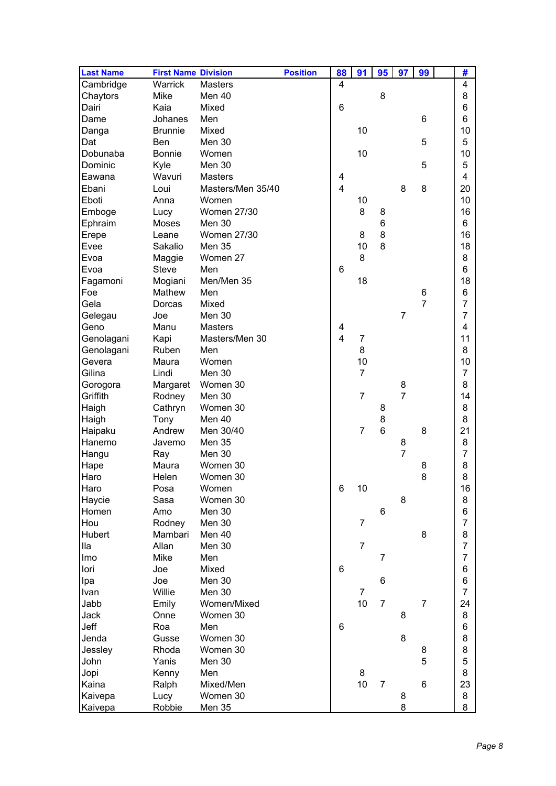| <b>Last Name</b> | <b>First Name Division</b> |                    | <b>Position</b> | 88             | 91             | 95             | 97             | 99             | #              |
|------------------|----------------------------|--------------------|-----------------|----------------|----------------|----------------|----------------|----------------|----------------|
| Cambridge        | Warrick                    | <b>Masters</b>     |                 | 4              |                |                |                |                | 4              |
| Chaytors         | Mike                       | Men 40             |                 |                |                | 8              |                |                | 8              |
| Dairi            | Kaia                       | Mixed              |                 | 6              |                |                |                |                | 6              |
| Dame             | Johanes                    | Men                |                 |                |                |                |                | 6              | 6              |
| Danga            | <b>Brunnie</b>             | Mixed              |                 |                | 10             |                |                |                | 10             |
| Dat              | Ben                        | Men 30             |                 |                |                |                |                | 5              | 5              |
| Dobunaba         | <b>Bonnie</b>              | Women              |                 |                | 10             |                |                |                | 10             |
| Dominic          | Kyle                       | Men 30             |                 |                |                |                |                | 5              | 5              |
| Eawana           | Wavuri                     | <b>Masters</b>     |                 | 4              |                |                |                |                | 4              |
| Ebani            | Loui                       | Masters/Men 35/40  |                 | $\overline{4}$ |                |                | 8              | 8              | 20             |
| Eboti            | Anna                       | Women              |                 |                | 10             |                |                |                | 10             |
| Emboge           | Lucy                       | <b>Women 27/30</b> |                 |                | 8              | 8              |                |                | 16             |
| Ephraim          | Moses                      | Men 30             |                 |                |                | 6              |                |                | 6              |
|                  |                            | Women 27/30        |                 |                | 8              | 8              |                |                | 16             |
| Erepe            | Leane                      | Men 35             |                 |                | 10             | 8              |                |                | 18             |
| Evee             | Sakalio                    |                    |                 |                |                |                |                |                |                |
| Evoa             | Maggie                     | Women 27           |                 |                | 8              |                |                |                | 8              |
| Evoa             | <b>Steve</b>               | Men                |                 | 6              |                |                |                |                | 6              |
| Fagamoni         | Mogiani                    | Men/Men 35         |                 |                | 18             |                |                |                | 18             |
| Foe              | Mathew                     | Men                |                 |                |                |                |                | 6              | 6              |
| Gela             | Dorcas                     | Mixed              |                 |                |                |                |                | $\overline{7}$ | 7              |
| Gelegau          | Joe                        | Men 30             |                 |                |                |                | $\overline{7}$ |                | 7              |
| Geno             | Manu                       | <b>Masters</b>     |                 | 4              |                |                |                |                | 4              |
| Genolagani       | Kapi                       | Masters/Men 30     |                 | 4              | 7              |                |                |                | 11             |
| Genolagani       | Ruben                      | Men                |                 |                | 8              |                |                |                | 8              |
| Gevera           | Maura                      | Women              |                 |                | 10             |                |                |                | 10             |
| Gilina           | Lindi                      | Men 30             |                 |                | $\overline{7}$ |                |                |                | $\overline{7}$ |
| Gorogora         | Margaret                   | Women 30           |                 |                |                |                | 8              |                | 8              |
| Griffith         | Rodney                     | Men 30             |                 |                | $\overline{7}$ |                | $\overline{7}$ |                | 14             |
| Haigh            | Cathryn                    | Women 30           |                 |                |                | 8              |                |                | 8              |
| Haigh            | Tony                       | Men 40             |                 |                |                | 8              |                |                | 8              |
| Haipaku          | Andrew                     | Men 30/40          |                 |                | 7              | 6              |                | 8              | 21             |
| Hanemo           | Javemo                     | Men 35             |                 |                |                |                | 8              |                | 8              |
| Hangu            | Ray                        | Men 30             |                 |                |                |                | $\overline{7}$ |                | $\overline{7}$ |
| Hape             | Maura                      | Women 30           |                 |                |                |                |                | 8              | 8              |
| Haro             | Helen                      | Women 30           |                 |                |                |                |                | 8              | 8              |
| Haro             | Posa                       | Women              |                 | 6              | 10             |                |                |                | 16             |
| Haycie           | Sasa                       | Women 30           |                 |                |                |                | 8              |                | 8              |
| Homen            | Amo                        | Men 30             |                 |                |                | 6              |                |                | 6              |
| Hou              | Rodney                     | Men 30             |                 |                | 7              |                |                |                | 7              |
| <b>Hubert</b>    | Mambari                    | Men 40             |                 |                |                |                |                | 8              | 8              |
| lla              | Allan                      | Men 30             |                 |                | $\overline{7}$ |                |                |                | $\overline{7}$ |
| Imo              | Mike                       | Men                |                 |                |                | $\overline{7}$ |                |                | $\overline{7}$ |
| lori             | Joe                        | Mixed              |                 | 6              |                |                |                |                | 6              |
| Ipa              | Joe                        | <b>Men 30</b>      |                 |                |                | 6              |                |                | 6              |
| Ivan             | Willie                     | Men 30             |                 |                | 7              |                |                |                | $\overline{7}$ |
| Jabb             | Emily                      | Women/Mixed        |                 |                | 10             | $\overline{7}$ |                | $\overline{7}$ | 24             |
| Jack             | Onne                       | Women 30           |                 |                |                |                | 8              |                | 8              |
| Jeff             | Roa                        | Men                |                 | 6              |                |                |                |                | 6              |
| Jenda            | Gusse                      | Women 30           |                 |                |                |                | 8              |                | 8              |
| Jessley          | Rhoda                      | Women 30           |                 |                |                |                |                | 8              | 8              |
| John             | Yanis                      | Men 30             |                 |                |                |                |                | 5              | 5              |
|                  |                            |                    |                 |                |                |                |                |                |                |
| Jopi             | Kenny                      | Men                |                 |                | 8              |                |                |                | 8              |
| Kaina            | Ralph                      | Mixed/Men          |                 |                | 10             | 7              |                | 6              | 23             |
| Kaivepa          | Lucy                       | Women 30           |                 |                |                |                | 8              |                | 8              |
| <b>Kaivepa</b>   | Robbie                     | Men 35             |                 |                |                |                | 8              |                | 8              |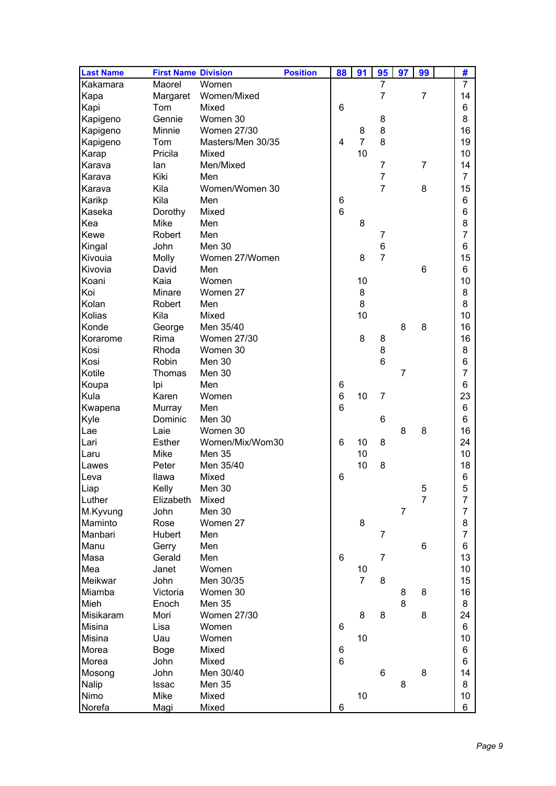| <b>Last Name</b> | <b>First Name Division</b> |                   | <b>Position</b> | 88 | 91             | 95             | 97             | 99             | #              |
|------------------|----------------------------|-------------------|-----------------|----|----------------|----------------|----------------|----------------|----------------|
| Kakamara         | Maorel                     | Women             |                 |    |                | $\overline{7}$ |                |                | $\overline{7}$ |
| Kapa             | Margaret                   | Women/Mixed       |                 |    |                | $\overline{7}$ |                | $\overline{7}$ | 14             |
| Kapi             | Tom                        | Mixed             |                 | 6  |                |                |                |                | 6              |
| Kapigeno         | Gennie                     | Women 30          |                 |    |                | 8              |                |                | 8              |
| Kapigeno         | Minnie                     | Women 27/30       |                 |    | 8              | 8              |                |                | 16             |
| Kapigeno         | Tom                        | Masters/Men 30/35 |                 | 4  | $\overline{7}$ | 8              |                |                | 19             |
| Karap            | Pricila                    | Mixed             |                 |    | 10             |                |                |                | 10             |
| Karava           | lan                        | Men/Mixed         |                 |    |                | $\overline{7}$ |                | $\overline{7}$ | 14             |
| Karava           | Kiki                       | Men               |                 |    |                | $\overline{7}$ |                |                | $\overline{7}$ |
| Karava           | Kila                       | Women/Women 30    |                 |    |                | $\overline{7}$ |                | 8              | 15             |
| Karikp           | Kila                       | Men               |                 | 6  |                |                |                |                | 6              |
| Kaseka           | Dorothy                    | Mixed             |                 | 6  |                |                |                |                | 6              |
| Kea              | <b>Mike</b>                | Men               |                 |    | 8              |                |                |                | 8              |
| Kewe             | Robert                     | Men               |                 |    |                | 7              |                |                | 7              |
| Kingal           | John                       | Men 30            |                 |    |                | 6              |                |                | 6              |
| Kivouia          | Molly                      | Women 27/Women    |                 |    | 8              | $\overline{7}$ |                |                | 15             |
| Kivovia          | David                      | Men               |                 |    |                |                |                | 6              | 6              |
| Koani            | Kaia                       | Women             |                 |    | 10             |                |                |                | 10             |
| Koi              | Minare                     | Women 27          |                 |    | 8              |                |                |                | 8              |
| Kolan            | Robert                     | Men               |                 |    | 8              |                |                |                | 8              |
| Kolias           | Kila                       | Mixed             |                 |    | 10             |                |                |                | 10             |
| Konde            | George                     | Men 35/40         |                 |    |                |                | 8              | 8              | 16             |
| Korarome         | Rima                       | Women 27/30       |                 |    | 8              | 8              |                |                | 16             |
| Kosi             | Rhoda                      | Women 30          |                 |    |                | 8              |                |                | 8              |
| Kosi             | Robin                      | Men 30            |                 |    |                | 6              |                |                | 6              |
| Kotile           | Thomas                     | Men 30            |                 |    |                |                | 7              |                | 7              |
| Koupa            | Ipi                        | Men               |                 | 6  |                |                |                |                | 6              |
| Kula             | Karen                      | Women             |                 | 6  | 10             | 7              |                |                | 23             |
| Kwapena          | Murray                     | Men               |                 | 6  |                |                |                |                | 6              |
| Kyle             | Dominic                    | Men 30            |                 |    |                | 6              |                |                | 6              |
| Lae              | Laie                       | Women 30          |                 |    |                |                | 8              | 8              | 16             |
| Lari             | <b>Esther</b>              | Women/Mix/Wom30   |                 | 6  | 10             | 8              |                |                | 24             |
| Laru             | Mike                       | Men 35            |                 |    | 10             |                |                |                | 10             |
| Lawes            | Peter                      | Men 35/40         |                 |    | 10             | 8              |                |                | 18             |
| Leva             | Ilawa                      | Mixed             |                 | 6  |                |                |                |                | 6              |
| Liap             | Kelly                      | Men 30            |                 |    |                |                |                | 5              | 5              |
| Luther           | Elizabeth                  | Mixed             |                 |    |                |                |                | $\overline{7}$ | $\overline{7}$ |
| M.Kyvung         | John                       | <b>Men 30</b>     |                 |    |                |                | $\overline{7}$ |                | $\overline{7}$ |
| Maminto          | Rose                       | Women 27          |                 |    | 8              |                |                |                | 8              |
| Manbari          | Hubert                     | Men               |                 |    |                | $\overline{7}$ |                |                | $\overline{7}$ |
| Manu             | Gerry                      | Men               |                 |    |                |                |                | 6              | 6              |
| Masa             | Gerald                     | Men               |                 | 6  |                | 7              |                |                | 13             |
| Mea              | Janet                      | Women             |                 |    | 10             |                |                |                | 10             |
| Meikwar          | John                       | Men 30/35         |                 |    | $\overline{7}$ | 8              |                |                | 15             |
| Miamba           | Victoria                   | Women 30          |                 |    |                |                | 8              | 8              | 16             |
| Mieh             | Enoch                      | <b>Men 35</b>     |                 |    |                |                | 8              |                | 8              |
| Misikaram        | Mori                       | Women 27/30       |                 |    | 8              | 8              |                | 8              | 24             |
| Misina           | Lisa                       | Women             |                 | 6  |                |                |                |                | 6              |
| Misina           | Uau                        | Women             |                 |    | 10             |                |                |                | 10             |
| Morea            | <b>Boge</b>                | Mixed             |                 | 6  |                |                |                |                | 6              |
| Morea            | John                       | Mixed             |                 | 6  |                |                |                |                | 6              |
| Mosong           | John                       | Men 30/40         |                 |    |                | 6              |                | 8              | 14             |
| Nalip            | <b>Issac</b>               | <b>Men 35</b>     |                 |    |                |                | 8              |                | 8              |
| Nimo             | Mike                       | Mixed             |                 |    | 10             |                |                |                | 10             |
| Norefa           | Magi                       | Mixed             |                 | 6  |                |                |                |                | 6              |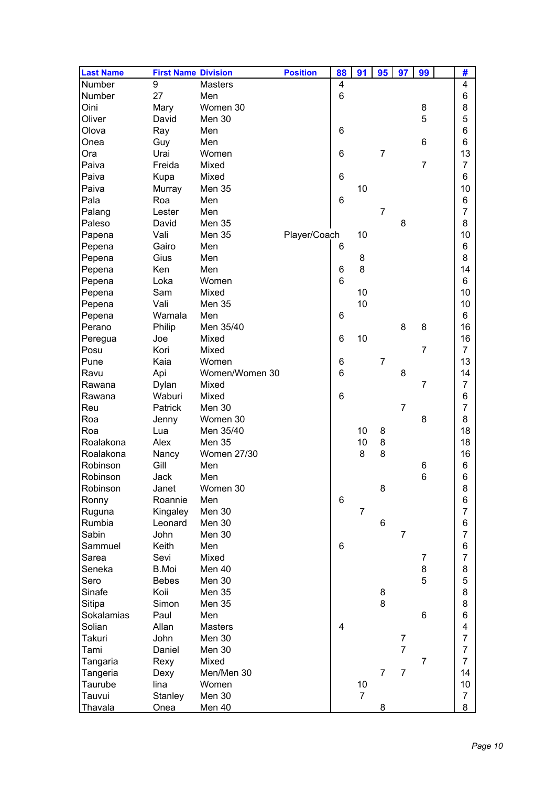| <b>Last Name</b> | <b>First Name Division</b> |                | <b>Position</b> | 88              | 91             | 95             | 97             | 99             | #              |
|------------------|----------------------------|----------------|-----------------|-----------------|----------------|----------------|----------------|----------------|----------------|
| Number           | 9                          | <b>Masters</b> |                 | 4               |                |                |                |                | 4              |
| Number           | 27                         | Men            |                 | 6               |                |                |                |                | 6              |
| Oini             | Mary                       | Women 30       |                 |                 |                |                |                | 8              | 8              |
| Oliver           | David                      | Men 30         |                 |                 |                |                |                | 5              | 5              |
| Olova            | Ray                        | Men            |                 | 6               |                |                |                |                | 6              |
| Onea             | Guy                        | Men            |                 |                 |                |                |                | 6              | 6              |
| Ora              | Urai                       | Women          |                 | 6               |                | $\overline{7}$ |                |                | 13             |
| Paiva            | Freida                     | Mixed          |                 |                 |                |                |                | $\overline{7}$ | $\overline{7}$ |
| Paiva            | Kupa                       | Mixed          |                 | 6               |                |                |                |                | 6              |
| Paiva            | Murray                     | <b>Men 35</b>  |                 |                 | 10             |                |                |                | 10             |
| Pala             | Roa                        | Men            |                 | 6               |                |                |                |                | 6              |
| Palang           | Lester                     | Men            |                 |                 |                | $\overline{7}$ |                |                | $\overline{7}$ |
| Paleso           | David                      | <b>Men 35</b>  |                 |                 |                |                | 8              |                | 8              |
| Papena           | Vali                       | <b>Men 35</b>  | Player/Coach    |                 | 10             |                |                |                | 10             |
| Pepena           | Gairo                      | Men            |                 | 6               |                |                |                |                | 6              |
| Pepena           | Gius                       | Men            |                 |                 | 8              |                |                |                | 8              |
| Pepena           | Ken                        | Men            |                 | 6               | 8              |                |                |                | 14             |
| Pepena           | Loka                       | Women          |                 | 6               |                |                |                |                | 6              |
| Pepena           | Sam                        | Mixed          |                 |                 | 10             |                |                |                | 10             |
|                  | Vali                       | <b>Men 35</b>  |                 |                 | 10             |                |                |                | 10             |
| Pepena           |                            |                |                 |                 |                |                |                |                |                |
| Pepena           | Wamala                     | Men            |                 | 6               |                |                | 8              |                | 6              |
| Perano           | Philip                     | Men 35/40      |                 |                 |                |                |                | 8              | 16             |
| Peregua          | Joe                        | Mixed          |                 | 6               | 10             |                |                |                | 16             |
| Posu             | Kori                       | Mixed          |                 |                 |                |                |                | $\overline{7}$ | $\overline{7}$ |
| Pune             | Kaia                       | Women          |                 | 6               |                | 7              |                |                | 13             |
| Ravu             | Api                        | Women/Women 30 |                 | 6               |                |                | 8              |                | 14             |
| Rawana           | Dylan                      | Mixed          |                 |                 |                |                |                | 7              | $\overline{7}$ |
| Rawana           | Waburi                     | Mixed          |                 | $6\phantom{1}6$ |                |                |                |                | 6              |
| Reu              | Patrick                    | Men 30         |                 |                 |                |                | $\overline{7}$ |                | $\overline{7}$ |
| Roa              | Jenny                      | Women 30       |                 |                 |                |                |                | 8              | 8              |
| Roa              | Lua                        | Men 35/40      |                 |                 | 10             | 8              |                |                | 18             |
| Roalakona        | Alex                       | <b>Men 35</b>  |                 |                 | 10             | 8              |                |                | 18             |
| Roalakona        | Nancy                      | Women 27/30    |                 |                 | 8              | 8              |                |                | 16             |
| Robinson         | Gill                       | Men            |                 |                 |                |                |                | 6              | 6              |
| Robinson         | Jack                       | Men            |                 |                 |                |                |                | 6              | 6              |
| Robinson         | Janet                      | Women 30       |                 |                 |                | 8              |                |                | 8              |
| Ronny            | Roannie                    | Men            |                 | 6               |                |                |                |                | 6              |
| Ruguna           | Kingaley                   | <b>Men 30</b>  |                 |                 | $\overline{7}$ |                |                |                | $\overline{7}$ |
| Rumbia           | Leonard                    | Men 30         |                 |                 |                | 6              |                |                | 6              |
| Sabin            | John                       | Men 30         |                 |                 |                |                | $\overline{7}$ |                | $\overline{7}$ |
| Sammuel          | Keith                      | Men            |                 | 6               |                |                |                |                | 6              |
| Sarea            | Sevi                       | Mixed          |                 |                 |                |                |                | 7              | $\overline{7}$ |
| Seneka           | <b>B.Moi</b>               | Men 40         |                 |                 |                |                |                | 8              | 8              |
| Sero             | <b>Bebes</b>               | Men 30         |                 |                 |                |                |                | 5              | 5              |
| Sinafe           | Koii                       | Men 35         |                 |                 |                | 8              |                |                | 8              |
| Sitipa           | Simon                      | Men 35         |                 |                 |                | 8              |                |                | 8              |
| Sokalamias       | Paul                       | Men            |                 |                 |                |                |                | 6              | 6              |
| Solian           | Allan                      | <b>Masters</b> |                 | 4               |                |                |                |                | 4              |
| Takuri           | John                       | Men 30         |                 |                 |                |                | 7              |                | 7              |
| Tami             | Daniel                     | Men 30         |                 |                 |                |                | $\overline{7}$ |                | $\overline{7}$ |
| Tangaria         | Rexy                       | Mixed          |                 |                 |                |                |                | $\overline{7}$ | $\overline{7}$ |
| Tangeria         | Dexy                       | Men/Men 30     |                 |                 |                | $\overline{7}$ | $\overline{7}$ |                | 14             |
| Taurube          | lina                       | Women          |                 |                 | 10             |                |                |                | 10             |
| Tauvui           | Stanley                    | <b>Men 30</b>  |                 |                 | $\overline{7}$ |                |                |                | $\overline{7}$ |
| Thavala          | Onea                       | <u>Men 40</u>  |                 |                 |                | 8              |                |                | 8              |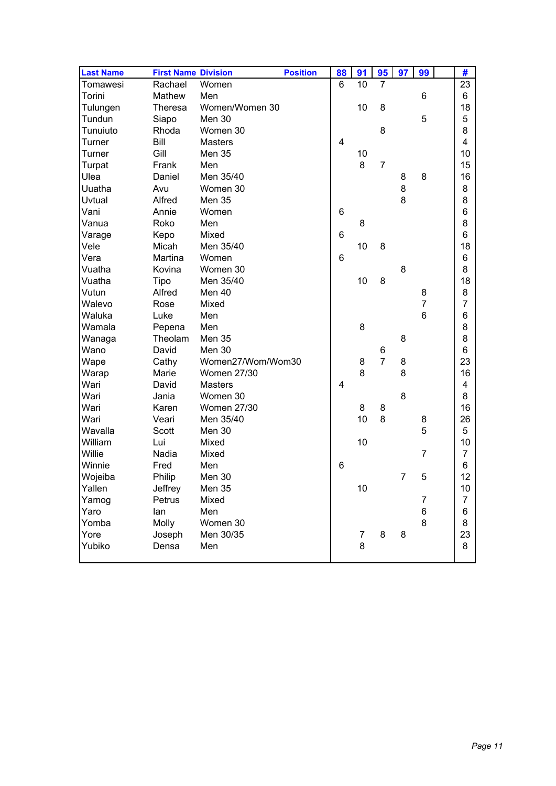| <b>Last Name</b> | <b>First Name Division</b> |                    | <b>Position</b> | 88             | 91             | 95             | 97 | 99             | #              |
|------------------|----------------------------|--------------------|-----------------|----------------|----------------|----------------|----|----------------|----------------|
| Tomawesi         | Rachael                    | Women              |                 | 6              | 10             | $\overline{7}$ |    |                | 23             |
| Torini           | Mathew                     | Men                |                 |                |                |                |    | 6              | 6              |
| Tulungen         | <b>Theresa</b>             | Women/Women 30     |                 |                | 10             | 8              |    |                | 18             |
| Tundun           | Siapo                      | Men 30             |                 |                |                |                |    | 5              | 5              |
| Tunuiuto         | Rhoda                      | Women 30           |                 |                |                | 8              |    |                | 8              |
| Turner           | Bill                       | <b>Masters</b>     |                 | $\overline{4}$ |                |                |    |                | 4              |
| Turner           | Gill                       | <b>Men 35</b>      |                 |                | 10             |                |    |                | 10             |
| Turpat           | Frank                      | Men                |                 |                | 8              | $\overline{7}$ |    |                | 15             |
| Ulea             | Daniel                     | Men 35/40          |                 |                |                |                | 8  | 8              | 16             |
| Uuatha           | Avu                        | Women 30           |                 |                |                |                | 8  |                | 8              |
| Uvtual           | Alfred                     | Men 35             |                 |                |                |                | 8  |                | 8              |
| Vani             | Annie                      | Women              |                 | 6              |                |                |    |                | 6              |
| Vanua            | Roko                       | Men                |                 |                | 8              |                |    |                | 8              |
| Varage           | Kepo                       | Mixed              |                 | 6              |                |                |    |                | 6              |
| Vele             | Micah                      | Men 35/40          |                 |                | 10             | 8              |    |                | 18             |
| Vera             | Martina                    | Women              |                 | 6              |                |                |    |                | 6              |
| Vuatha           | Kovina                     | Women 30           |                 |                |                |                | 8  |                | 8              |
| Vuatha           | <b>Tipo</b>                | Men 35/40          |                 |                | 10             | 8              |    |                | 18             |
| Vutun            | Alfred                     | Men 40             |                 |                |                |                |    | 8              | 8              |
| Walevo           | Rose                       | Mixed              |                 |                |                |                |    | $\overline{7}$ | 7              |
| Waluka           | Luke                       | Men                |                 |                |                |                |    | 6              | 6              |
| Wamala           | Pepena                     | Men                |                 |                | 8              |                |    |                | 8              |
| Wanaga           | Theolam                    | Men 35             |                 |                |                |                | 8  |                | 8              |
| Wano             | David                      | Men 30             |                 |                |                | 6              |    |                | 6              |
| Wape             | Cathy                      | Women27/Wom/Wom30  |                 |                | 8              | $\overline{7}$ | 8  |                | 23             |
| Warap            | Marie                      | <b>Women 27/30</b> |                 |                | 8              |                | 8  |                | 16             |
| Wari             | David                      | <b>Masters</b>     |                 | 4              |                |                |    |                | 4              |
| Wari             | Jania                      | Women 30           |                 |                |                |                | 8  |                | 8              |
| Wari             | Karen                      | <b>Women 27/30</b> |                 |                | 8              | 8              |    |                | 16             |
| Wari             | Veari                      | Men 35/40          |                 |                | 10             | 8              |    | 8              | 26             |
| Wavalla          | Scott                      | Men 30             |                 |                |                |                |    | 5              | 5              |
| William          | Lui                        | Mixed              |                 |                | 10             |                |    |                | 10             |
| Willie           | Nadia                      | Mixed              |                 |                |                |                |    | $\overline{7}$ | $\overline{7}$ |
| Winnie           | Fred                       | Men                |                 | 6              |                |                |    |                | 6              |
| Wojeiba          | Philip                     | Men 30             |                 |                |                |                | 7  | 5              | 12             |
| Yallen           | Jeffrey                    | <b>Men 35</b>      |                 |                | 10             |                |    |                | 10             |
| Yamog            | Petrus                     | Mixed              |                 |                |                |                |    | 7              | 7              |
| Yaro             | lan                        | Men                |                 |                |                |                |    | 6              | 6              |
| Yomba            | Molly                      | Women 30           |                 |                |                |                |    | 8              | 8              |
| Yore             | Joseph                     | Men 30/35          |                 |                | $\overline{7}$ | 8              | 8  |                | 23             |
| Yubiko           | Densa                      | Men                |                 |                | 8              |                |    |                | 8              |
|                  |                            |                    |                 |                |                |                |    |                |                |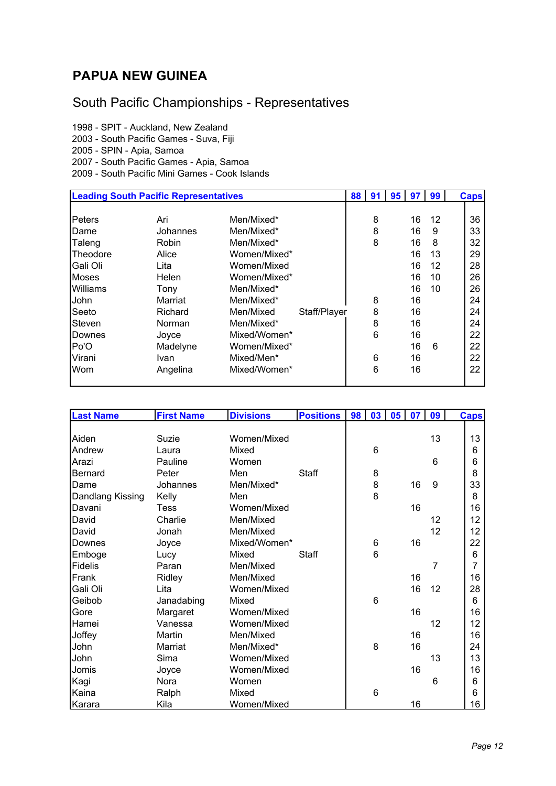## **PAPUA NEW GUINEA**

## South Pacific Championships - Representatives

1998 - SPIT - Auckland, New Zealand 2003 - South Pacific Games - Suva, Fiji 2005 - SPIN - Apia, Samoa 2007 - South Pacific Games - Apia, Samoa 2009 - South Pacific Mini Games - Cook Islands

| <b>Leading South Pacific Representatives</b> |          |              | 88           | 91 | 95 | 97 | 99 | <b>Caps</b> |    |
|----------------------------------------------|----------|--------------|--------------|----|----|----|----|-------------|----|
|                                              |          |              |              |    |    |    |    |             |    |
| Peters                                       | Ari      | Men/Mixed*   |              |    | 8  |    | 16 | 12          | 36 |
| <b>IDame</b>                                 | Johannes | Men/Mixed*   |              |    | 8  |    | 16 | 9           | 33 |
| Taleng                                       | Robin    | Men/Mixed*   |              |    | 8  |    | 16 | 8           | 32 |
| Theodore                                     | Alice    | Women/Mixed* |              |    |    |    | 16 | 13          | 29 |
| Gali Oli                                     | Lita     | Women/Mixed  |              |    |    |    | 16 | 12          | 28 |
| <b>Moses</b>                                 | Helen    | Women/Mixed* |              |    |    |    | 16 | 10          | 26 |
| <b>Williams</b>                              | Tony     | Men/Mixed*   |              |    |    |    | 16 | 10          | 26 |
| John                                         | Marriat  | Men/Mixed*   |              |    | 8  |    | 16 |             | 24 |
| Seeto                                        | Richard  | Men/Mixed    | Staff/Player |    | 8  |    | 16 |             | 24 |
| Steven                                       | Norman   | Men/Mixed*   |              |    | 8  |    | 16 |             | 24 |
| Downes                                       | Joyce    | Mixed/Women* |              |    | 6  |    | 16 |             | 22 |
| Po'O                                         | Madelyne | Women/Mixed* |              |    |    |    | 16 | 6           | 22 |
| Virani                                       | Ivan     | Mixed/Men*   |              |    | 6  |    | 16 |             | 22 |
| Wom                                          | Angelina | Mixed/Women* |              |    | 6  |    | 16 |             | 22 |
|                                              |          |              |              |    |    |    |    |             |    |

| <b>Last Name</b> | <b>First Name</b> | <b>Divisions</b> | <b>Positions</b> | 98 | 03 | 05 | 07 | 09             | <b>Caps</b> |
|------------------|-------------------|------------------|------------------|----|----|----|----|----------------|-------------|
|                  |                   |                  |                  |    |    |    |    |                |             |
| Aiden            | Suzie             | Women/Mixed      |                  |    |    |    |    | 13             | 13          |
| Andrew           | Laura             | Mixed            |                  |    | 6  |    |    |                | 6           |
| Arazi            | Pauline           | Women            |                  |    |    |    |    | 6              | 6           |
| <b>Bernard</b>   | Peter             | Men              | Staff            |    | 8  |    |    |                | 8           |
| Dame             | Johannes          | Men/Mixed*       |                  |    | 8  |    | 16 | 9              | 33          |
| Dandlang Kissing | Kelly             | Men              |                  |    | 8  |    |    |                | 8           |
| Davani           | <b>Tess</b>       | Women/Mixed      |                  |    |    |    | 16 |                | 16          |
| David            | Charlie           | Men/Mixed        |                  |    |    |    |    | 12             | 12          |
| David            | Jonah             | Men/Mixed        |                  |    |    |    |    | 12             | 12          |
| Downes           | Joyce             | Mixed/Women*     |                  |    | 6  |    | 16 |                | 22          |
| Emboge           | Lucy              | Mixed            | Staff            |    | 6  |    |    |                | 6           |
| <b>Fidelis</b>   | Paran             | Men/Mixed        |                  |    |    |    |    | $\overline{7}$ | 7           |
| Frank            | Ridley            | Men/Mixed        |                  |    |    |    | 16 |                | 16          |
| Gali Oli         | Lita              | Women/Mixed      |                  |    |    |    | 16 | 12             | 28          |
| Geibob           | Janadabing        | Mixed            |                  |    | 6  |    |    |                | 6           |
| Gore             | Margaret          | Women/Mixed      |                  |    |    |    | 16 |                | 16          |
| Hamei            | Vanessa           | Women/Mixed      |                  |    |    |    |    | 12             | 12          |
| Joffey           | Martin            | Men/Mixed        |                  |    |    |    | 16 |                | 16          |
| John             | Marriat           | Men/Mixed*       |                  |    | 8  |    | 16 |                | 24          |
| John             | Sima              | Women/Mixed      |                  |    |    |    |    | 13             | 13          |
| Jomis            | Joyce             | Women/Mixed      |                  |    |    |    | 16 |                | 16          |
| Kagi             | Nora              | Women            |                  |    |    |    |    | 6              | 6           |
| Kaina            | Ralph             | Mixed            |                  |    | 6  |    |    |                | 6           |
| Karara           | Kila              | Women/Mixed      |                  |    |    |    | 16 |                | 16          |